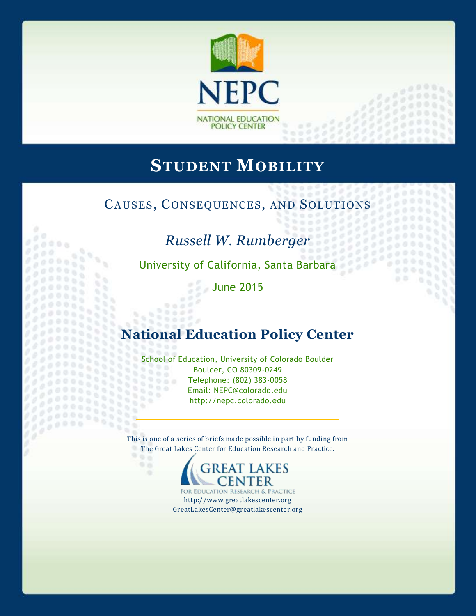

# **STUDENT MOBILITY**

## CAUSES, CONSEQUENCES, AND SOLUTIONS

# *Russell W. Rumberger*

 $\alpha$ 

 $777000$  $1.1000$ 

University of California, Santa Barbara

98 o

June 2015

 $0 + 0$  $0.002$ 

۰s

# **National Education Policy Center**

School of Education, University of Colorado Boulder Boulder, CO 80309-0249  $9000$ Telephone: (802) 383-0058 333 888 Email: NEPC@colorado.edu  $\frac{1}{2}$ http://nepc.colorado.edu

This is one of a series of briefs made possible in part by funding from The Great Lakes Center for Education Research and Practice.



http://www.greatlakescenter.org GreatLakesCenter@greatlakescenter.org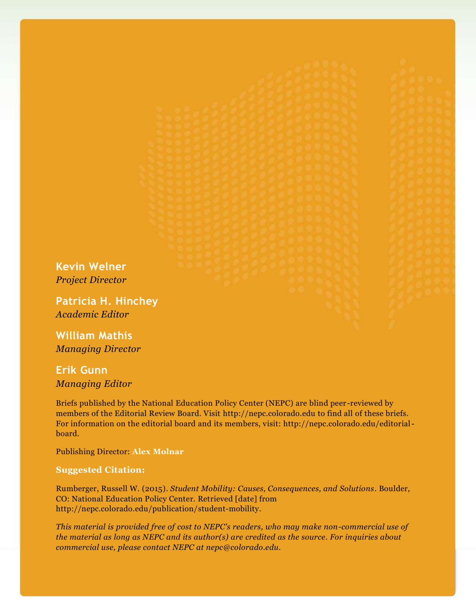**Kevin Welner** *Project Director*

**Patricia H. Hinchey** *Academic Editor*

**William Mathis** *Managing Director*

**Erik Gunn** *Managing Editor*

Briefs published by the National Education Policy Center (NEPC) are blind peer -reviewed by members of the Editorial Review Board. Visit http://nepc.colorado.edu to find all of these briefs. For information on the editorial board and its members, visit: http://nepc.colorado.edu/editorialboard.

Publishing Director: **Alex Molnar**

#### **Suggested Citation:**

Rumberger, Russell W. (2015). *Student Mobility: Causes, Consequences, and Solutions*. Boulder, CO: National Education Policy Center. Retrieved [date] from http://nepc.colorado.edu/publication/student-mobility.

*This material is provided free of cost to NEPC's readers, who may make non-commercial use of the material as long as NEPC and its author(s) are credited as the source. For inquiries about commercial use, please contact NEPC at nepc@colorado.edu.*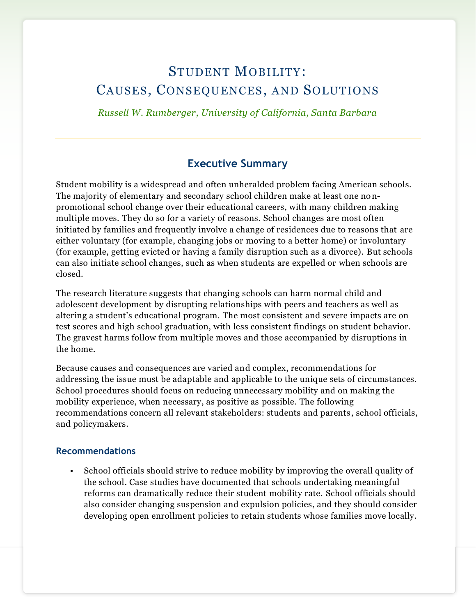## STUDENT MOBILITY: CAUSES, CONSEQUENCES, AND SOLUTIONS

*Russell W. Rumberger, University of California, Santa Barbara*

#### **Executive Summary**

Student mobility is a widespread and often unheralded problem facing American schools. The majority of elementary and secondary school children make at least one nonpromotional school change over their educational careers, with many children making multiple moves. They do so for a variety of reasons. School changes are most often initiated by families and frequently involve a change of residences due to reasons that are either voluntary (for example, changing jobs or moving to a better home) or involuntary (for example, getting evicted or having a family disruption such as a divorce). But schools can also initiate school changes, such as when students are expelled or when schools are closed.

The research literature suggests that changing schools can harm normal child and adolescent development by disrupting relationships with peers and teachers as well as altering a student's educational program. The most consistent and severe impacts are on test scores and high school graduation, with less consistent findings on student behavior. The gravest harms follow from multiple moves and those accompanied by disruptions in the home.

Because causes and consequences are varied and complex, recommendations for addressing the issue must be adaptable and applicable to the unique sets of circumstances. School procedures should focus on reducing unnecessary mobility and on making the mobility experience, when necessary, as positive as possible. The following recommendations concern all relevant stakeholders: students and parents, school officials, and policymakers.

#### **Recommendations**

• School officials should strive to reduce mobility by improving the overall quality of the school. Case studies have documented that schools undertaking meaningful reforms can dramatically reduce their student mobility rate. School officials should also consider changing suspension and expulsion policies, and they should consider developing open enrollment policies to retain students whose families move locally.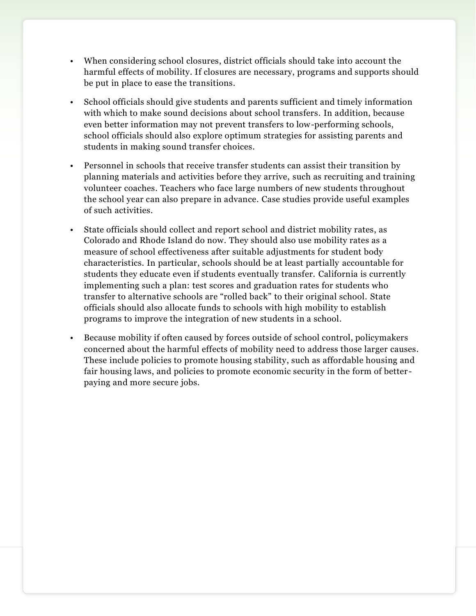- When considering school closures, district officials should take into account the harmful effects of mobility. If closures are necessary, programs and supports should be put in place to ease the transitions.
- School officials should give students and parents sufficient and timely information with which to make sound decisions about school transfers. In addition, because even better information may not prevent transfers to low-performing schools, school officials should also explore optimum strategies for assisting parents and students in making sound transfer choices.
- Personnel in schools that receive transfer students can assist their transition by planning materials and activities before they arrive, such as recruiting and training volunteer coaches. Teachers who face large numbers of new students throughout the school year can also prepare in advance. Case studies provide useful examples of such activities.
- State officials should collect and report school and district mobility rates, as Colorado and Rhode Island do now. They should also use mobility rates as a measure of school effectiveness after suitable adjustments for student body characteristics. In particular, schools should be at least partially accountable for students they educate even if students eventually transfer. California is currently implementing such a plan: test scores and graduation rates for students who transfer to alternative schools are "rolled back" to their original school. State officials should also allocate funds to schools with high mobility to establish programs to improve the integration of new students in a school.
- Because mobility if often caused by forces outside of school control, policymakers concerned about the harmful effects of mobility need to address those larger causes. These include policies to promote housing stability, such as affordable housing and fair housing laws, and policies to promote economic security in the form of better paying and more secure jobs.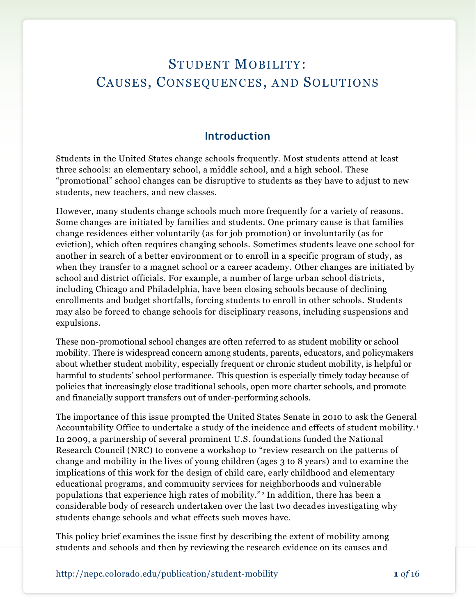## STUDENT MOBILITY: CAUSES, CONSEQUENCES, AND SOLUTIONS

#### **Introduction**

Students in the United States change schools frequently. Most students attend at least three schools: an elementary school, a middle school, and a high school. These "promotional" school changes can be disruptive to students as they have to adjust to new students, new teachers, and new classes.

However, many students change schools much more frequently for a variety of reasons. Some changes are initiated by families and students. One primary cause is that families change residences either voluntarily (as for job promotion) or involuntarily (as for eviction), which often requires changing schools. Sometimes students leave one school for another in search of a better environment or to enroll in a specific program of study, as when they transfer to a magnet school or a career academy. Other changes are initiated by school and district officials. For example, a number of large urban school districts, including Chicago and Philadelphia, have been closing schools because of declining enrollments and budget shortfalls, forcing students to enroll in other schools. Students may also be forced to change schools for disciplinary reasons, including suspensions and expulsions.

These non-promotional school changes are often referred to as student mobility or school mobility. There is widespread concern among students, parents, educators, and policymakers about whether student mobility, especially frequent or chronic student mobility, is helpful or harmful to students' school performance. This question is especially timely today because of policies that increasingly close traditional schools, open more charter schools, and promote and financially support transfers out of under-performing schools.

The importance of this issue prompted the United States Senate in 2010 to ask the General Accountability Office to undertake a study of the incidence and effects of student mobility.<sup>1</sup> In 2009, a partnership of several prominent U.S. foundations funded the National Research Council (NRC) to convene a workshop to "review research on the patterns of change and mobility in the lives of young children (ages 3 to 8 years) and to examine the implications of this work for the design of child care, early childhood and elementary educational programs, and community services for neighborhoods and vulnerable populations that experience high rates of mobility." <sup>2</sup> In addition, there has been a considerable body of research undertaken over the last two decades investigating why students change schools and what effects such moves have.

This policy brief examines the issue first by describing the extent of mobility among students and schools and then by reviewing the research evidence on its causes and

http://nepc.colorado.edu/publication/student-mobility **1** *of* 16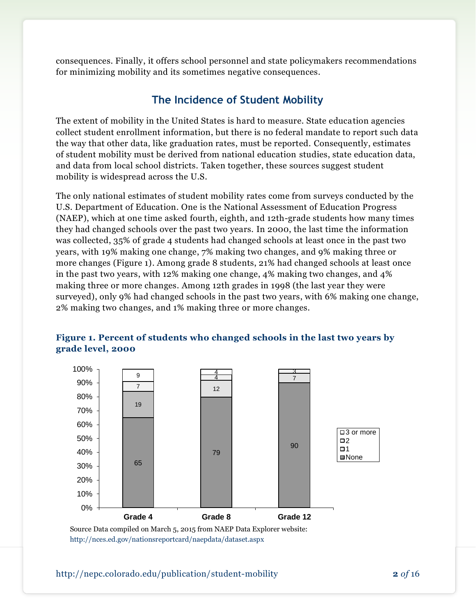consequences. Finally, it offers school personnel and state policymakers recommendations for minimizing mobility and its sometimes negative consequences.

#### **The Incidence of Student Mobility**

The extent of mobility in the United States is hard to measure. State education agencies collect student enrollment information, but there is no federal mandate to report such data the way that other data, like graduation rates, must be reported. Consequently, estimates of student mobility must be derived from national education studies, state education data, and data from local school districts. Taken together, these sources suggest student mobility is widespread across the U.S.

The only national estimates of student mobility rates come from surveys conducted by the U.S. Department of Education. One is the National Assessment of Education Progress (NAEP), which at one time asked fourth, eighth, and 12th-grade students how many times they had changed schools over the past two years. In 2000, the last time the information was collected, 35% of grade 4 students had changed schools at least once in the past two years, with 19% making one change, 7% making two changes, and 9% making three or more changes (Figure 1). Among grade 8 students, 21% had changed schools at least once in the past two years, with 12% making one change, 4% making two changes, and 4% making three or more changes. Among 12th grades in 1998 (the last year they were surveyed), only 9% had changed schools in the past two years, with 6% making one change, 2% making two changes, and 1% making three or more changes.



#### **Figure 1. Percent of students who changed schools in the last two years by grade level, 2000**

Source Data compiled on March 5, 2015 from NAEP Data Explorer website: <http://nces.ed.gov/nationsreportcard/naepdata/dataset.aspx>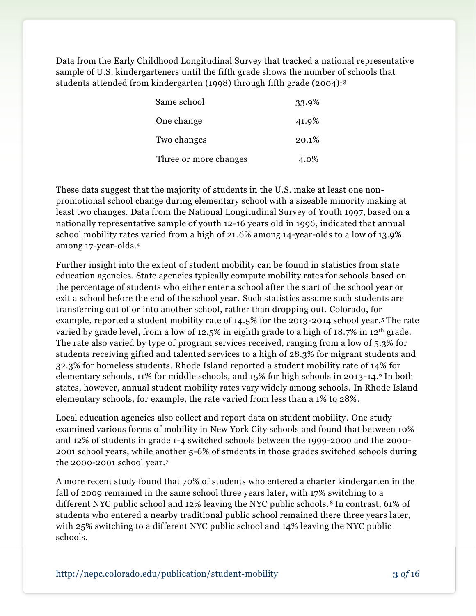Data from the Early Childhood Longitudinal Survey that tracked a national representative sample of U.S. kindergarteners until the fifth grade shows the number of schools that students attended from kindergarten (1998) through fifth grade (2004): <sup>3</sup>

| Same school           | 33.9% |
|-----------------------|-------|
| One change            | 41.9% |
| Two changes           | 20.1% |
| Three or more changes | 4.0%  |

These data suggest that the majority of students in the U.S. make at least one nonpromotional school change during elementary school with a sizeable minority making at least two changes. Data from the National Longitudinal Survey of Youth 1997, based on a nationally representative sample of youth 12-16 years old in 1996, indicated that annual school mobility rates varied from a high of 21.6% among 14-year-olds to a low of 13.9% among 17-year-olds.<sup>4</sup>

Further insight into the extent of student mobility can be found in statistics from state education agencies. State agencies typically compute mobility rates for schools based on the percentage of students who either enter a school after the start of the school year or exit a school before the end of the school year. Such statistics assume such students are transferring out of or into another school, rather than dropping out. Colorado, for example, reported a student mobility rate of 14.5% for the 2013-2014 school year.<sup>5</sup> The rate varied by grade level, from a low of 12.5% in eighth grade to a high of  $18.7\%$  in 12<sup>th</sup> grade. The rate also varied by type of program services received, ranging from a low of 5.3% for students receiving gifted and talented services to a high of 28.3% for migrant students and 32.3% for homeless students. Rhode Island reported a student mobility rate of 14% for elementary schools, 11% for middle schools, and 15% for high schools in 2013-14.<sup>6</sup> In both states, however, annual student mobility rates vary widely among schools. In Rhode Island elementary schools, for example, the rate varied from less than a 1% to 28%.

Local education agencies also collect and report data on student mobility. One study examined various forms of mobility in New York City schools and found that between 10% and 12% of students in grade 1-4 switched schools between the 1999-2000 and the 2000- 2001 school years, while another 5-6% of students in those grades switched schools during the 2000-2001 school year.<sup>7</sup>

A more recent study found that 70% of students who entered a charter kindergarten in the fall of 2009 remained in the same school three years later, with 17% switching to a different NYC public school and 12% leaving the NYC public schools. <sup>8</sup> In contrast, 61% of students who entered a nearby traditional public school remained there three years later, with 25% switching to a different NYC public school and 14% leaving the NYC public schools.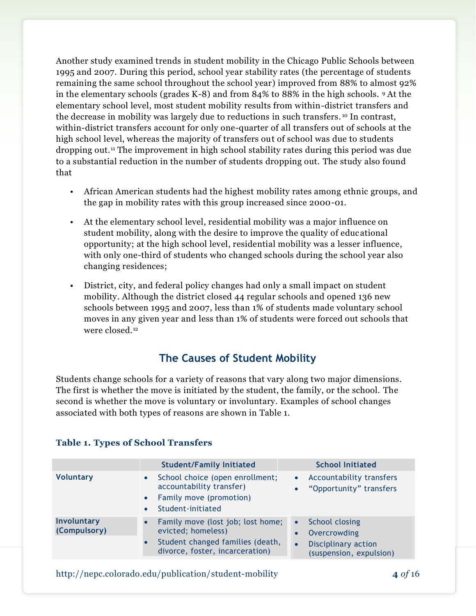Another study examined trends in student mobility in the Chicago Public Schools between 1995 and 2007. During this period, school year stability rates (the percentage of students remaining the same school throughout the school year) improved from 88% to almost 92% in the elementary schools (grades K-8) and from 84% to 88% in the high schools. <sup>9</sup> At the elementary school level, most student mobility results from within-district transfers and the decrease in mobility was largely due to reductions in such transfers. <sup>10</sup> In contrast, within-district transfers account for only one-quarter of all transfers out of schools at the high school level, whereas the majority of transfers out of school was due to students dropping out.<sup>11</sup> The improvement in high school stability rates during this period was due to a substantial reduction in the number of students dropping out. The study also found that

- African American students had the highest mobility rates among ethnic groups, and the gap in mobility rates with this group increased since 2000-01.
- At the elementary school level, residential mobility was a major influence on student mobility, along with the desire to improve the quality of educational opportunity; at the high school level, residential mobility was a lesser influence, with only one-third of students who changed schools during the school year also changing residences;
- District, city, and federal policy changes had only a small impact on student mobility. Although the district closed 44 regular schools and opened 136 new schools between 1995 and 2007, less than 1% of students made voluntary school moves in any given year and less than 1% of students were forced out schools that were closed.<sup>12</sup>

## **The Causes of Student Mobility**

Students change schools for a variety of reasons that vary along two major dimensions. The first is whether the move is initiated by the student, the family, or the school. The second is whether the move is voluntary or involuntary. Examples of school changes associated with both types of reasons are shown in Table 1.

|                             | <b>Student/Family Initiated</b>                                                                                                | <b>School Initiated</b>                                                                              |
|-----------------------------|--------------------------------------------------------------------------------------------------------------------------------|------------------------------------------------------------------------------------------------------|
| <b>Voluntary</b>            | School choice (open enrollment;<br>$\bullet$<br>accountability transfer)<br>Family move (promotion)<br>Student-initiated       | Accountability transfers<br>$\bullet$<br>"Opportunity" transfers                                     |
| Involuntary<br>(Compulsory) | Family move (lost job; lost home;<br>evicted; homeless)<br>Student changed families (death,<br>divorce, foster, incarceration) | <b>School closing</b><br>Overcrowding<br>Disciplinary action<br>$\bullet$<br>(suspension, expulsion) |

#### **Table 1. Types of School Transfers**

http://nepc.colorado.edu/publication/student-mobility **4** *of* 16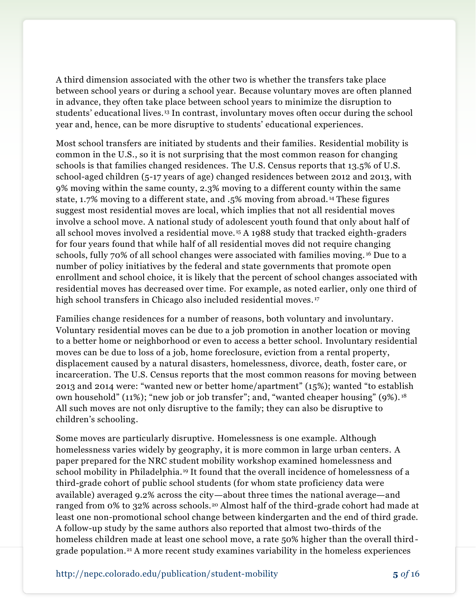A third dimension associated with the other two is whether the transfers take place between school years or during a school year. Because voluntary moves are often planned in advance, they often take place between school years to minimize the disruption to students' educational lives.<sup>13</sup> In contrast, involuntary moves often occur during the school year and, hence, can be more disruptive to students' educational experiences.

Most school transfers are initiated by students and their families. Residential mobility is common in the U.S., so it is not surprising that the most common reason for changing schools is that families changed residences. The U.S. Census reports that 13.5% of U.S. school-aged children (5-17 years of age) changed residences between 2012 and 2013, with 9% moving within the same county, 2.3% moving to a different county within the same state, 1.7% moving to a different state, and .5% moving from abroad. <sup>14</sup> These figures suggest most residential moves are local, which implies that not all residential moves involve a school move. A national study of adolescent youth found that only about half of all school moves involved a residential move. <sup>15</sup> A 1988 study that tracked eighth-graders for four years found that while half of all residential moves did not require changing schools, fully 70% of all school changes were associated with families moving. <sup>16</sup> Due to a number of policy initiatives by the federal and state governments that promote open enrollment and school choice, it is likely that the percent of school changes associated with residential moves has decreased over time. For example, as noted earlier, only one third of high school transfers in Chicago also included residential moves.<sup>17</sup>

Families change residences for a number of reasons, both voluntary and involuntary. Voluntary residential moves can be due to a job promotion in another location or moving to a better home or neighborhood or even to access a better school. Involuntary residential moves can be due to loss of a job, home foreclosure, eviction from a rental property, displacement caused by a natural disasters, homelessness, divorce, death, foster care, or incarceration. The U.S. Census reports that the most common reasons for moving between 2013 and 2014 were: "wanted new or better home/apartment" (15%); wanted "to establish own household" (11%); "new job or job transfer"; and, "wanted cheaper housing" (9%). <sup>18</sup> All such moves are not only disruptive to the family; they can also be disruptive to children's schooling.

Some moves are particularly disruptive. Homelessness is one example. Although homelessness varies widely by geography, it is more common in large urban centers. A paper prepared for the NRC student mobility workshop examined homelessness and school mobility in Philadelphia. <sup>19</sup> It found that the overall incidence of homelessness of a third-grade cohort of public school students (for whom state proficiency data were available) averaged 9.2% across the city—about three times the national average—and ranged from 0% to 32% across schools.<sup>20</sup> Almost half of the third-grade cohort had made at least one non-promotional school change between kindergarten and the end of third grade. A follow-up study by the same authors also reported that almost two-thirds of the homeless children made at least one school move, a rate 50% higher than the overall thirdgrade population.<sup>21</sup> A more recent study examines variability in the homeless experiences

http://nepc.colorado.edu/publication/student-mobility **5** *of* 16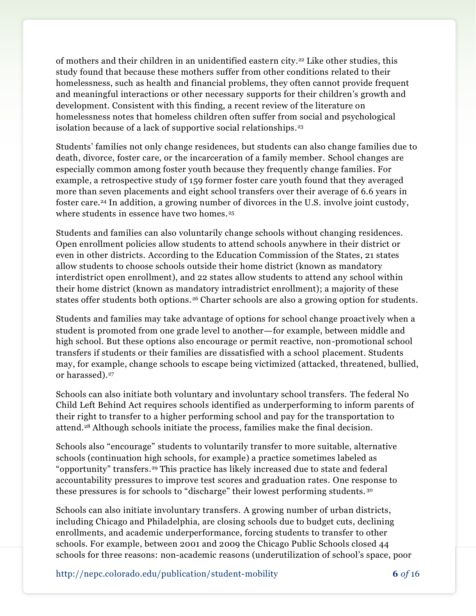of mothers and their children in an unidentified eastern city.<sup>22</sup> Like other studies, this study found that because these mothers suffer from other conditions related to their homelessness, such as health and financial problems, they often cannot provide frequent and meaningful interactions or other necessary supports for their children's growth and development. Consistent with this finding, a recent review of the literature on homelessness notes that homeless children often suffer from social and psychological isolation because of a lack of supportive social relationships.<sup>23</sup>

Students' families not only change residences, but students can also change families due to death, divorce, foster care, or the incarceration of a family member. School changes are especially common among foster youth because they frequently change families. For example, a retrospective study of 159 former foster care youth found that they averaged more than seven placements and eight school transfers over their average of 6.6 years in foster care.<sup>24</sup> In addition, a growing number of divorces in the U.S. involve joint custody, where students in essence have two homes.<sup>25</sup>

Students and families can also voluntarily change schools without changing residences. Open enrollment policies allow students to attend schools anywhere in their district or even in other districts. According to the Education Commission of the States, 21 states allow students to choose schools outside their home district (known as mandatory interdistrict open enrollment), and 22 states allow students to attend any school within their home district (known as mandatory intradistrict enrollment); a majority of these states offer students both options.<sup>26</sup> Charter schools are also a growing option for students.

Students and families may take advantage of options for school change proactively when a student is promoted from one grade level to another—for example, between middle and high school. But these options also encourage or permit reactive, non-promotional school transfers if students or their families are dissatisfied with a school placement. Students may, for example, change schools to escape being victimized (attacked, threatened, bullied, or harassed).<sup>27</sup>

Schools can also initiate both voluntary and involuntary school transfers. The federal No Child Left Behind Act requires schools identified as underperforming to inform parents of their right to transfer to a higher performing school and pay for the transportation to attend.<sup>28</sup> Although schools initiate the process, families make the final decision.

Schools also "encourage" students to voluntarily transfer to more suitable, alternative schools (continuation high schools, for example) a practice sometimes labeled as "opportunity" transfers.<sup>29</sup> This practice has likely increased due to state and federal accountability pressures to improve test scores and graduation rates. One response to these pressures is for schools to "discharge" their lowest performing students. <sup>30</sup>

Schools can also initiate involuntary transfers. A growing number of urban districts, including Chicago and Philadelphia, are closing schools due to budget cuts, declining enrollments, and academic underperformance, forcing students to transfer to other schools. For example, between 2001 and 2009 the Chicago Public Schools closed 44 schools for three reasons: non-academic reasons (underutilization of school's space, poor

http://nepc.colorado.edu/publication/student-mobility **6** *of* 16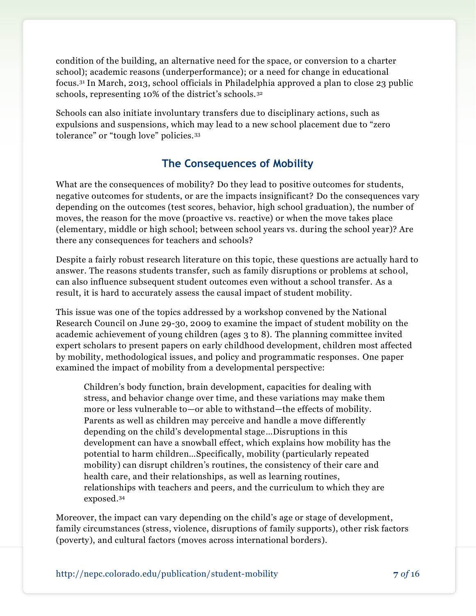condition of the building, an alternative need for the space, or conversion to a charter school); academic reasons (underperformance); or a need for change in educational focus.<sup>31</sup> In March, 2013, school officials in Philadelphia approved a plan to close 23 public schools, representing 10% of the district's schools.<sup>32</sup>

Schools can also initiate involuntary transfers due to disciplinary actions, such as expulsions and suspensions, which may lead to a new school placement due to "zero tolerance" or "tough love" policies.<sup>33</sup>

## **The Consequences of Mobility**

What are the consequences of mobility? Do they lead to positive outcomes for students, negative outcomes for students, or are the impacts insignificant? Do the consequences vary depending on the outcomes (test scores, behavior, high school graduation), the number of moves, the reason for the move (proactive vs. reactive) or when the move takes place (elementary, middle or high school; between school years vs. during the school year)? Are there any consequences for teachers and schools?

Despite a fairly robust research literature on this topic, these questions are actually hard to answer. The reasons students transfer, such as family disruptions or problems at school, can also influence subsequent student outcomes even without a school transfer. As a result, it is hard to accurately assess the causal impact of student mobility.

This issue was one of the topics addressed by a workshop convened by the National Research Council on June 29-30, 2009 to examine the impact of student mobility on the academic achievement of young children (ages 3 to 8). The planning committee invited expert scholars to present papers on early childhood development, children most affected by mobility, methodological issues, and policy and programmatic responses. One paper examined the impact of mobility from a developmental perspective:

Children's body function, brain development, capacities for dealing with stress, and behavior change over time, and these variations may make them more or less vulnerable to—or able to withstand—the effects of mobility. Parents as well as children may perceive and handle a move differently depending on the child's developmental stage…Disruptions in this development can have a snowball effect, which explains how mobility has the potential to harm children…Specifically, mobility (particularly repeated mobility) can disrupt children's routines, the consistency of their care and health care, and their relationships, as well as learning routines, relationships with teachers and peers, and the curriculum to which they are exposed. 34

Moreover, the impact can vary depending on the child's age or stage of development, family circumstances (stress, violence, disruptions of family supports), other risk factors (poverty), and cultural factors (moves across international borders).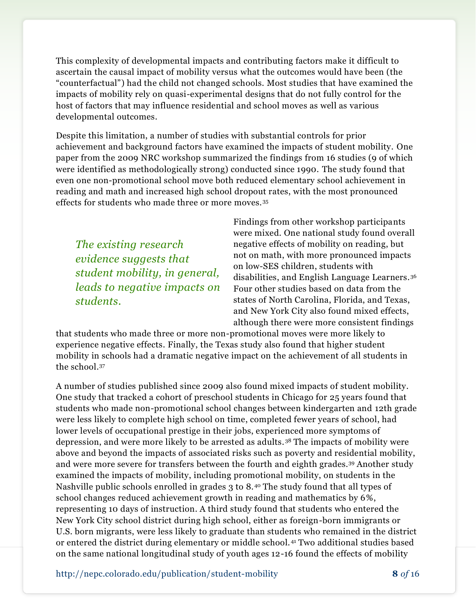This complexity of developmental impacts and contributing factors make it difficult to ascertain the causal impact of mobility versus what the outcomes would have been (the "counterfactual") had the child not changed schools. Most studies that have examined the impacts of mobility rely on quasi-experimental designs that do not fully control for the host of factors that may influence residential and school moves as well as various developmental outcomes.

Despite this limitation, a number of studies with substantial controls for prior achievement and background factors have examined the impacts of student mobility. One paper from the 2009 NRC workshop summarized the findings from 16 studies (9 of which were identified as methodologically strong) conducted since 1990. The study found that even one non-promotional school move both reduced elementary school achievement in reading and math and increased high school dropout rates, with the most pronounced effects for students who made three or more moves. <sup>35</sup>

*The existing research evidence suggests that student mobility, in general, leads to negative impacts on students.*

Findings from other workshop participants were mixed. One national study found overall negative effects of mobility on reading, but not on math, with more pronounced impacts on low-SES children, students with disabilities, and English Language Learners.<sup>36</sup> Four other studies based on data from the states of North Carolina, Florida, and Texas, and New York City also found mixed effects, although there were more consistent findings

that students who made three or more non-promotional moves were more likely to experience negative effects. Finally, the Texas study also found that higher student mobility in schools had a dramatic negative impact on the achievement of all students in the school.<sup>37</sup>

A number of studies published since 2009 also found mixed impacts of student mobility. One study that tracked a cohort of preschool students in Chicago for 25 years found that students who made non-promotional school changes between kindergarten and 12th grade were less likely to complete high school on time, completed fewer years of school, had lower levels of occupational prestige in their jobs, experienced more symptoms of depression, and were more likely to be arrested as adults. <sup>38</sup> The impacts of mobility were above and beyond the impacts of associated risks such as poverty and residential mobility, and were more severe for transfers between the fourth and eighth grades.<sup>39</sup> Another study examined the impacts of mobility, including promotional mobility, on students in the Nashville public schools enrolled in grades 3 to 8.<sup>40</sup> The study found that all types of school changes reduced achievement growth in reading and mathematics by 6%, representing 10 days of instruction. A third study found that students who entered the New York City school district during high school, either as foreign-born immigrants or U.S. born migrants, were less likely to graduate than students who remained in the district or entered the district during elementary or middle school. <sup>41</sup> Two additional studies based on the same national longitudinal study of youth ages 12-16 found the effects of mobility

http://nepc.colorado.edu/publication/student-mobility **8** *of* 16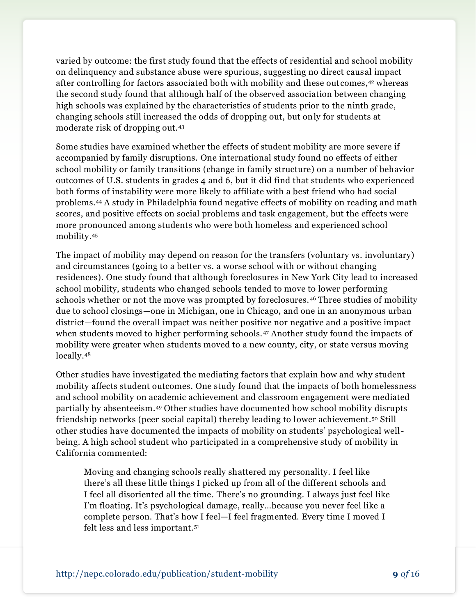varied by outcome: the first study found that the effects of residential and school mobility on delinquency and substance abuse were spurious, suggesting no direct causal impact after controlling for factors associated both with mobility and these outcomes, <sup>42</sup> whereas the second study found that although half of the observed association between changing high schools was explained by the characteristics of students prior to the ninth grade, changing schools still increased the odds of dropping out, but only for students at moderate risk of dropping out.<sup>43</sup>

Some studies have examined whether the effects of student mobility are more severe if accompanied by family disruptions. One international study found no effects of either school mobility or family transitions (change in family structure) on a number of behavior outcomes of U.S. students in grades 4 and 6, but it did find that students who experienced both forms of instability were more likely to affiliate with a best friend who had social problems.<sup>44</sup> A study in Philadelphia found negative effects of mobility on reading and math scores, and positive effects on social problems and task engagement, but the effects were more pronounced among students who were both homeless and experienced school mobility.<sup>45</sup>

The impact of mobility may depend on reason for the transfers (voluntary vs. involuntary) and circumstances (going to a better vs. a worse school with or without changing residences). One study found that although foreclosures in New York City lead to increased school mobility, students who changed schools tended to move to lower performing schools whether or not the move was prompted by foreclosures. <sup>46</sup> Three studies of mobility due to school closings—one in Michigan, one in Chicago, and one in an anonymous urban district—found the overall impact was neither positive nor negative and a positive impact when students moved to higher performing schools.<sup>47</sup> Another study found the impacts of mobility were greater when students moved to a new county, city, or state versus moving locally.<sup>48</sup>

Other studies have investigated the mediating factors that explain how and why student mobility affects student outcomes. One study found that the impacts of both homelessness and school mobility on academic achievement and classroom engagement were mediated partially by absenteeism.<sup>49</sup> Other studies have documented how school mobility disrupts friendship networks (peer social capital) thereby leading to lower achievement.<sup>50</sup> Still other studies have documented the impacts of mobility on students' psychological wellbeing. A high school student who participated in a comprehensive study of mobility in California commented:

Moving and changing schools really shattered my personality. I feel like there's all these little things I picked up from all of the different schools and I feel all disoriented all the time. There's no grounding. I always just feel like I'm floating. It's psychological damage, really…because you never feel like a complete person. That's how I feel—I feel fragmented. Every time I moved I felt less and less important.51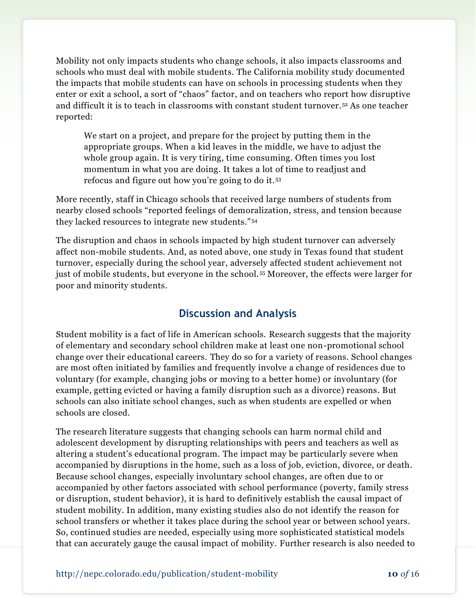Mobility not only impacts students who change schools, it also impacts classrooms and schools who must deal with mobile students. The California mobility study documented the impacts that mobile students can have on schools in processing students when they enter or exit a school, a sort of "chaos" factor, and on teachers who report how disruptive and difficult it is to teach in classrooms with constant student turnover.<sup>52</sup> As one teacher reported:

We start on a project, and prepare for the project by putting them in the appropriate groups. When a kid leaves in the middle, we have to adjust the whole group again. It is very tiring, time consuming. Often times you lost momentum in what you are doing. It takes a lot of time to readjust and refocus and figure out how you're going to do it. <sup>53</sup>

More recently, staff in Chicago schools that received large numbers of students from nearby closed schools "reported feelings of demoralization, stress, and tension because they lacked resources to integrate new students." <sup>54</sup>

The disruption and chaos in schools impacted by high student turnover can adversely affect non-mobile students. And, as noted above, one study in Texas found that student turnover, especially during the school year, adversely affected student achievement not just of mobile students, but everyone in the school. <sup>55</sup> Moreover, the effects were larger for poor and minority students.

## **Discussion and Analysis**

Student mobility is a fact of life in American schools. Research suggests that the majority of elementary and secondary school children make at least one non-promotional school change over their educational careers. They do so for a variety of reasons. School changes are most often initiated by families and frequently involve a change of residences due to voluntary (for example, changing jobs or moving to a better home) or involuntary (for example, getting evicted or having a family disruption such as a divorce) reasons. But schools can also initiate school changes, such as when students are expelled or when schools are closed.

The research literature suggests that changing schools can harm normal child and adolescent development by disrupting relationships with peers and teachers as well as altering a student's educational program. The impact may be particularly severe when accompanied by disruptions in the home, such as a loss of job, eviction, divorce, or death. Because school changes, especially involuntary school changes, are often due to or accompanied by other factors associated with school performance (poverty, family stress or disruption, student behavior), it is hard to definitively establish the causal impact of student mobility. In addition, many existing studies also do not identify the reason for school transfers or whether it takes place during the school year or between school years. So, continued studies are needed, especially using more sophisticated statistical models that can accurately gauge the causal impact of mobility. Further research is also needed to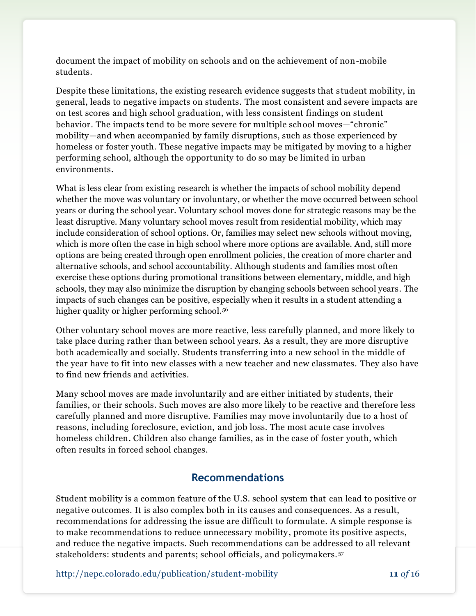document the impact of mobility on schools and on the achievement of non-mobile students.

Despite these limitations, the existing research evidence suggests that student mobility, in general, leads to negative impacts on students. The most consistent and severe impacts are on test scores and high school graduation, with less consistent findings on student behavior. The impacts tend to be more severe for multiple school moves—"chronic" mobility—and when accompanied by family disruptions, such as those experienced by homeless or foster youth. These negative impacts may be mitigated by moving to a higher performing school, although the opportunity to do so may be limited in urban environments.

What is less clear from existing research is whether the impacts of school mobility depend whether the move was voluntary or involuntary, or whether the move occurred between school years or during the school year. Voluntary school moves done for strategic reasons may be the least disruptive. Many voluntary school moves result from residential mobility, which may include consideration of school options. Or, families may select new schools without moving, which is more often the case in high school where more options are available. And, still more options are being created through open enrollment policies, the creation of more charter and alternative schools, and school accountability. Although students and families most often exercise these options during promotional transitions between elementary, middle, and high schools, they may also minimize the disruption by changing schools between school years. The impacts of such changes can be positive, especially when it results in a student attending a higher quality or higher performing school.<sup>56</sup>

Other voluntary school moves are more reactive, less carefully planned, and more likely to take place during rather than between school years. As a result, they are more disruptive both academically and socially. Students transferring into a new school in the middle of the year have to fit into new classes with a new teacher and new classmates. They also have to find new friends and activities.

Many school moves are made involuntarily and are either initiated by students, their families, or their schools. Such moves are also more likely to be reactive and therefore less carefully planned and more disruptive. Families may move involuntarily due to a host of reasons, including foreclosure, eviction, and job loss. The most acute case involves homeless children. Children also change families, as in the case of foster youth, which often results in forced school changes.

#### **Recommendations**

Student mobility is a common feature of the U.S. school system that can lead to positive or negative outcomes. It is also complex both in its causes and consequences. As a result, recommendations for addressing the issue are difficult to formulate. A simple response is to make recommendations to reduce unnecessary mobility, promote its positive aspects, and reduce the negative impacts. Such recommendations can be addressed to all relevant stakeholders: students and parents; school officials, and policymakers. <sup>57</sup>

http://nepc.colorado.edu/publication/student-mobility **11** *of* 16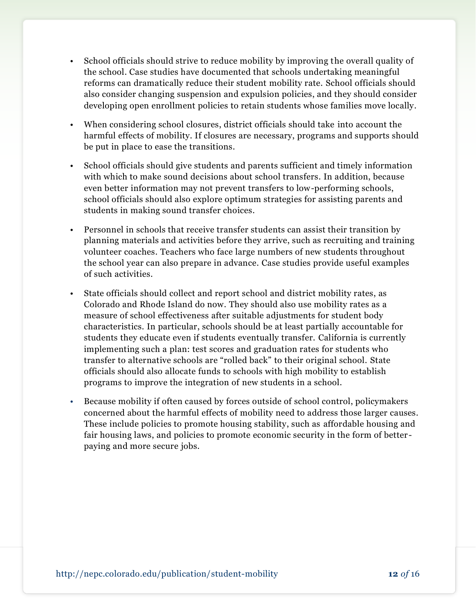- School officials should strive to reduce mobility by improving the overall quality of the school. Case studies have documented that schools undertaking meaningful reforms can dramatically reduce their student mobility rate. School officials should also consider changing suspension and expulsion policies, and they should consider developing open enrollment policies to retain students whose families move locally.
- When considering school closures, district officials should take into account the harmful effects of mobility. If closures are necessary, programs and supports should be put in place to ease the transitions.
- School officials should give students and parents sufficient and timely information with which to make sound decisions about school transfers. In addition, because even better information may not prevent transfers to low-performing schools, school officials should also explore optimum strategies for assisting parents and students in making sound transfer choices.
- Personnel in schools that receive transfer students can assist their transition by planning materials and activities before they arrive, such as recruiting and training volunteer coaches. Teachers who face large numbers of new students throughout the school year can also prepare in advance. Case studies provide useful examples of such activities.
- State officials should collect and report school and district mobility rates, as Colorado and Rhode Island do now. They should also use mobility rates as a measure of school effectiveness after suitable adjustments for student body characteristics. In particular, schools should be at least partially accountable for students they educate even if students eventually transfer. California is currently implementing such a plan: test scores and graduation rates for students who transfer to alternative schools are "rolled back" to their original school. State officials should also allocate funds to schools with high mobility to establish programs to improve the integration of new students in a school.
- Because mobility if often caused by forces outside of school control, policymakers concerned about the harmful effects of mobility need to address those larger causes. These include policies to promote housing stability, such as affordable housing and fair housing laws, and policies to promote economic security in the form of better paying and more secure jobs.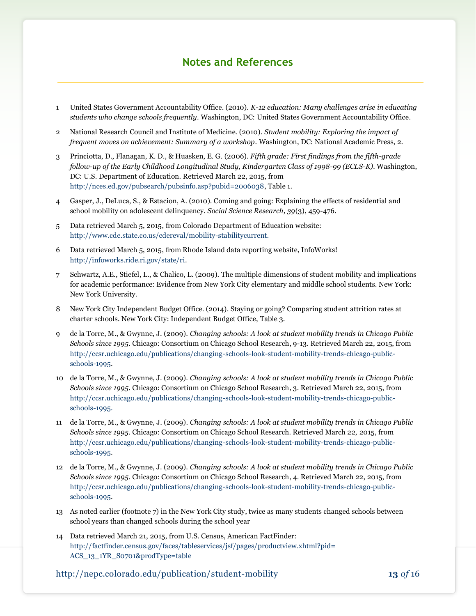#### **Notes and References**

- 1 United States Government Accountability Office. (2010). *K-12 education: Many challenges arise in educating students who change schools frequently*. Washington, DC: United States Government Accountability Office.
- 2 National Research Council and Institute of Medicine. (2010). *Student mobility: Exploring the impact of frequent moves on achievement: Summary of a workshop*. Washington, DC: National Academic Press, 2.
- 3 Princiotta, D., Flanagan, K. D., & Huasken, E. G. (2006). *Fifth grade: First findings from the fifth-grade follow-up of the Early Childhood Longitudinal Study, Kindergarten Class of 1998-99 (ECLS-K).* Washington, DC: U.S. Department of Education. Retrieved March 22, 2015, from [http://nces.ed.gov/pubsearch/pubsinfo.asp?pubid=2006038,](http://nces.ed.gov/pubsearch/pubsinfo.asp?pubid=2006038) Table 1.
- 4 Gasper, J., DeLuca, S., & Estacion, A. (2010). Coming and going: Explaining the effects of residential and school mobility on adolescent delinquency. *Social Science Research, 39*(3), 459-476.
- 5 Data retrieved March 5, 2015, from Colorado Department of Education website: [http://www.cde.state.co.us/cdereval/mobility-stabilitycurrent.](http://www.cde.state.co.us/cdereval/mobility-stabilitycurrent)
- 6 Data retrieved March 5, 2015, from Rhode Island data reporting website, InfoWorks! [http://infoworks.ride.ri.gov/state/ri.](http://infoworks.ride.ri.gov/state/ri)
- 7 Schwartz, A.E., Stiefel, L., & Chalico, L. (2009). The multiple dimensions of student mobility and implications for academic performance: Evidence from New York City elementary and middle school students. New York: New York University.
- 8 New York City Independent Budget Office. (2014). Staying or going? Comparing student attrition rates at charter schools. New York City: Independent Budget Office, Table 3.
- 9 de la Torre, M., & Gwynne, J. (2009). *Changing schools: A look at student mobility trends in Chicago Public Schools since 1995*. Chicago: Consortium on Chicago School Research, 9-13. Retrieved March 22, 2015, from [http://ccsr.uchicago.edu/publications/changing-schools-look-student-mobility-trends-chicago-public](http://ccsr.uchicago.edu/publications/changing-schools-look-student-mobility-trends-chicago-public-schools-1995)[schools-1995.](http://ccsr.uchicago.edu/publications/changing-schools-look-student-mobility-trends-chicago-public-schools-1995)
- 10 de la Torre, M., & Gwynne, J. (2009). *Changing schools: A look at student mobility trends in Chicago Public Schools since 1995*. Chicago: Consortium on Chicago School Research, 3. Retrieved March 22, 2015, from [http://ccsr.uchicago.edu/publications/changing-schools-look-student-mobility-trends-chicago-public](http://ccsr.uchicago.edu/publications/changing-schools-look-student-mobility-trends-chicago-public-schools-1995)[schools-1995.](http://ccsr.uchicago.edu/publications/changing-schools-look-student-mobility-trends-chicago-public-schools-1995)
- 11 de la Torre, M., & Gwynne, J. (2009). *Changing schools: A look at student mobility trends in Chicago Public Schools since 1995*. Chicago: Consortium on Chicago School Research. Retrieved March 22, 2015, from [http://ccsr.uchicago.edu/publications/changing-schools-look-student-mobility-trends-chicago-public](http://ccsr.uchicago.edu/publications/changing-schools-look-student-mobility-trends-chicago-public-schools-1995)[schools-1995.](http://ccsr.uchicago.edu/publications/changing-schools-look-student-mobility-trends-chicago-public-schools-1995)
- 12 de la Torre, M., & Gwynne, J. (2009). *Changing schools: A look at student mobility trends in Chicago Public Schools since 1995*. Chicago: Consortium on Chicago School Research, 4. Retrieved March 22, 2015, from [http://ccsr.uchicago.edu/publications/changing-schools-look-student-mobility-trends-chicago-public](http://ccsr.uchicago.edu/publications/changing-schools-look-student-mobility-trends-chicago-public-schools-1995)[schools-1995.](http://ccsr.uchicago.edu/publications/changing-schools-look-student-mobility-trends-chicago-public-schools-1995)
- 13 As noted earlier (footnote 7) in the New York City study, twice as many students changed schools between school years than changed schools during the school year
- 14 Data retrieved March 21, 2015, from U.S. Census, American FactFinder: [http://factfinder.census.gov/faces/tableservices/jsf/pages/productview.xhtml?pid=](http://factfinder.census.gov/faces/tableservices/jsf/pages/productview.xhtml?pid=ACS_13_1YR_S0701&prodType=table) [ACS\\_13\\_1YR\\_S0701&prodType=table](http://factfinder.census.gov/faces/tableservices/jsf/pages/productview.xhtml?pid=ACS_13_1YR_S0701&prodType=table)

http://nepc.colorado.edu/publication/student-mobility **13** *of* 16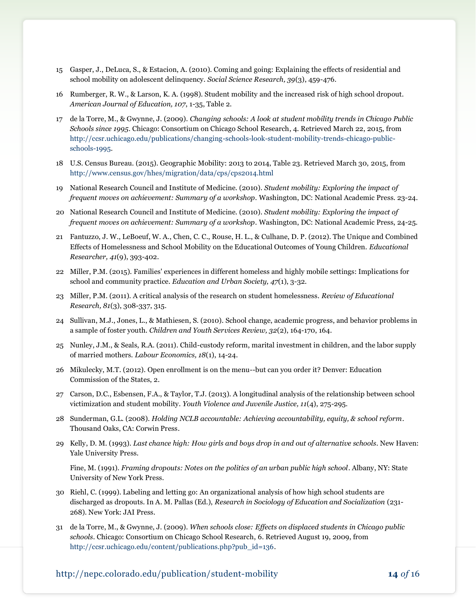- 15 Gasper, J., DeLuca, S., & Estacion, A. (2010). Coming and going: Explaining the effects of residential and school mobility on adolescent delinquency. *Social Science Research, 39*(3), 459-476.
- 16 Rumberger, R. W., & Larson, K. A. (1998). Student mobility and the increased risk of high school dropout. *American Journal of Education, 107*, 1-35, Table 2.
- 17 de la Torre, M., & Gwynne, J. (2009). *Changing schools: A look at student mobility trends in Chicago Public Schools since 1995*. Chicago: Consortium on Chicago School Research, 4. Retrieved March 22, 2015, from [http://ccsr.uchicago.edu/publications/changing-schools-look-student-mobility-trends-chicago-public](http://ccsr.uchicago.edu/publications/changing-schools-look-student-mobility-trends-chicago-public-schools-1995)[schools-1995.](http://ccsr.uchicago.edu/publications/changing-schools-look-student-mobility-trends-chicago-public-schools-1995)
- 18 U.S. Census Bureau. (2015). Geographic Mobility: 2013 to 2014, Table 23. Retrieved March 30, 2015, from <http://www.census.gov/hhes/migration/data/cps/cps2014.html>
- 19 National Research Council and Institute of Medicine. (2010). *Student mobility: Exploring the impact of frequent moves on achievement: Summary of a workshop*. Washington, DC: National Academic Press. 23-24.
- 20 National Research Council and Institute of Medicine. (2010). *Student mobility: Exploring the impact of frequent moves on achievement: Summary of a workshop*. Washington, DC: National Academic Press, 24-25.
- 21 Fantuzzo, J. W., LeBoeuf, W. A., Chen, C. C., Rouse, H. L., & Culhane, D. P. (2012). The Unique and Combined Effects of Homelessness and School Mobility on the Educational Outcomes of Young Children. *Educational Researcher, 41*(9), 393-402.
- 22 Miller, P.M. (2015). Families' experiences in different homeless and highly mobile settings: Implications for school and community practice. *Education and Urban Society, 47*(1), 3-32.
- 23 Miller, P.M. (2011). A critical analysis of the research on student homelessness. *Review of Educational Research, 81*(3), 308-337, 315.
- 24 Sullivan, M.J., Jones, L., & Mathiesen, S. (2010). School change, academic progress, and behavior problems in a sample of foster youth. *Children and Youth Services Review, 32*(2), 164-170, 164.
- 25 Nunley, J.M., & Seals, R.A. (2011). Child-custody reform, marital investment in children, and the labor supply of married mothers. *Labour Economics, 18*(1), 14-24.
- 26 Mikulecky, M.T. (2012). Open enrollment is on the menu--but can you order it? Denver: Education Commission of the States, 2.
- 27 Carson, D.C., Esbensen, F.A., & Taylor, T.J. (2013). A longitudinal analysis of the relationship between school victimization and student mobility. *Youth Violence and Juvenile Justice, 11*(4), 275-295.
- 28 Sunderman, G.L. (2008). *Holding NCLB accountable: Achieving accountability, equity, & school reform*. Thousand Oaks, CA: Corwin Press.
- 29 Kelly, D. M. (1993). *Last chance high: How girls and boys drop in and out of alternative schools*. New Haven: Yale University Press.

Fine, M. (1991). *Framing dropouts: Notes on the politics of an urban public high school*. Albany, NY: State University of New York Press.

- 30 Riehl, C. (1999). Labeling and letting go: An organizational analysis of how high school students are discharged as dropouts. In A. M. Pallas (Ed.), *Research in Sociology of Education and Socialization* (231- 268). New York: JAI Press.
- 31 de la Torre, M., & Gwynne, J. (2009). *When schools close: Effects on displaced students in Chicago public schools*. Chicago: Consortium on Chicago School Research, 6. Retrieved August 19, 2009, from [http://ccsr.uchicago.edu/content/publications.php?pub\\_id=136.](http://ccsr.uchicago.edu/content/publications.php?pub_id=136)

#### http://nepc.colorado.edu/publication/student-mobility **14** *of* 16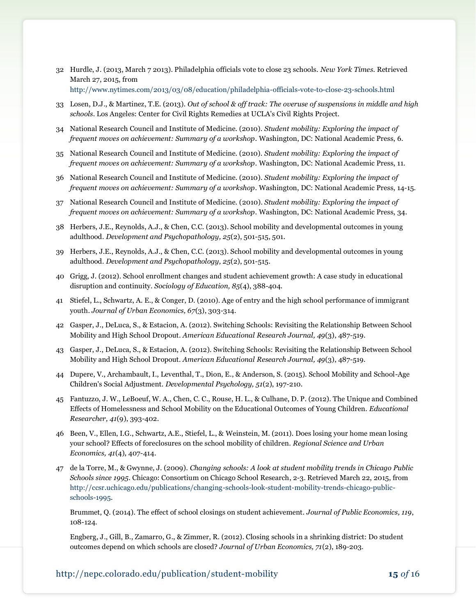- 32 Hurdle, J. (2013, March 7 2013). Philadelphia officials vote to close 23 schools. *New York Times*. Retrieved March 27, 2015, from <http://www.nytimes.com/2013/03/08/education/philadelphia-officials-vote-to-close-23-schools.html>
- 33 Losen, D.J., & Martinez, T.E. (2013). *Out of school & off track: The overuse of suspensions in middle and high schools*. Los Angeles: Center for Civil Rights Remedies at UCLA's Civil Rights Project.
- 34 National Research Council and Institute of Medicine. (2010). *Student mobility: Exploring the impact of frequent moves on achievement: Summary of a workshop*. Washington, DC: National Academic Press, 6.
- 35 National Research Council and Institute of Medicine. (2010). *Student mobility: Exploring the impact of frequent moves on achievement: Summary of a workshop*. Washington, DC: National Academic Press, 11.
- 36 National Research Council and Institute of Medicine. (2010). *Student mobility: Exploring the impact of frequent moves on achievement: Summary of a workshop*. Washington, DC: National Academic Press, 14-15.
- 37 National Research Council and Institute of Medicine. (2010). *Student mobility: Exploring the impact of frequent moves on achievement: Summary of a workshop*. Washington, DC: National Academic Press, 34.
- 38 Herbers, J.E., Reynolds, A.J., & Chen, C.C. (2013). School mobility and developmental outcomes in young adulthood. *Development and Psychopathology, 25*(2), 501-515, 501.
- 39 Herbers, J.E., Reynolds, A.J., & Chen, C.C. (2013). School mobility and developmental outcomes in young adulthood. *Development and Psychopathology, 25*(2), 501-515.
- 40 Grigg, J. (2012). School enrollment changes and student achievement growth: A case study in educational disruption and continuity. *Sociology of Education, 85*(4), 388-404.
- 41 Stiefel, L., Schwartz, A. E., & Conger, D. (2010). Age of entry and the high school performance of immigrant youth. *Journal of Urban Economics, 67*(3), 303-314.
- 42 Gasper, J., DeLuca, S., & Estacion, A. (2012). Switching Schools: Revisiting the Relationship Between School Mobility and High School Dropout. *American Educational Research Journal, 49*(3), 487-519.
- 43 Gasper, J., DeLuca, S., & Estacion, A. (2012). Switching Schools: Revisiting the Relationship Between School Mobility and High School Dropout. *American Educational Research Journal, 49*(3), 487-519.
- 44 Dupere, V., Archambault, I., Leventhal, T., Dion, E., & Anderson, S. (2015). School Mobility and School-Age Children's Social Adjustment. *Developmental Psychology, 51*(2), 197-210.
- 45 Fantuzzo, J. W., LeBoeuf, W. A., Chen, C. C., Rouse, H. L., & Culhane, D. P. (2012). The Unique and Combined Effects of Homelessness and School Mobility on the Educational Outcomes of Young Children. *Educational Researcher, 41*(9), 393-402.
- 46 Been, V., Ellen, I.G., Schwartz, A.E., Stiefel, L., & Weinstein, M. (2011). Does losing your home mean losing your school? Effects of foreclosures on the school mobility of children. *Regional Science and Urban Economics, 41*(4), 407-414.
- 47 de la Torre, M., & Gwynne, J. (2009). *Changing schools: A look at student mobility trends in Chicago Public Schools since 1995*. Chicago: Consortium on Chicago School Research, 2-3. Retrieved March 22, 2015, from [http://ccsr.uchicago.edu/publications/changing-schools-look-student-mobility-trends-chicago-public](http://ccsr.uchicago.edu/publications/changing-schools-look-student-mobility-trends-chicago-public-schools-1995)[schools-1995.](http://ccsr.uchicago.edu/publications/changing-schools-look-student-mobility-trends-chicago-public-schools-1995)

Brummet, Q. (2014). The effect of school closings on student achievement. *Journal of Public Economics, 119*, 108-124.

Engberg, J., Gill, B., Zamarro, G., & Zimmer, R. (2012). Closing schools in a shrinking district: Do student outcomes depend on which schools are closed? *Journal of Urban Economics, 71*(2), 189-203.